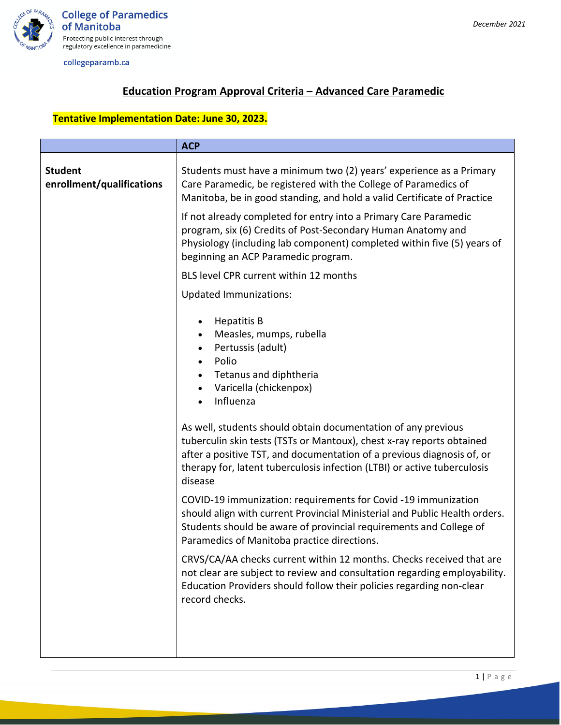

collegeparamb.ca

### **Education Program Approval Criteria – Advanced Care Paramedic**

## **Tentative Implementation Date: June 30, 2023.**

|                                             | <b>ACP</b>                                                                                                                                                                                                                                                                                                                                                                                                                                                                                       |
|---------------------------------------------|--------------------------------------------------------------------------------------------------------------------------------------------------------------------------------------------------------------------------------------------------------------------------------------------------------------------------------------------------------------------------------------------------------------------------------------------------------------------------------------------------|
| <b>Student</b><br>enrollment/qualifications | Students must have a minimum two (2) years' experience as a Primary<br>Care Paramedic, be registered with the College of Paramedics of<br>Manitoba, be in good standing, and hold a valid Certificate of Practice                                                                                                                                                                                                                                                                                |
|                                             | If not already completed for entry into a Primary Care Paramedic<br>program, six (6) Credits of Post-Secondary Human Anatomy and<br>Physiology (including lab component) completed within five (5) years of<br>beginning an ACP Paramedic program.                                                                                                                                                                                                                                               |
|                                             | BLS level CPR current within 12 months                                                                                                                                                                                                                                                                                                                                                                                                                                                           |
|                                             | <b>Updated Immunizations:</b>                                                                                                                                                                                                                                                                                                                                                                                                                                                                    |
|                                             | <b>Hepatitis B</b><br>Measles, mumps, rubella<br>$\bullet$<br>Pertussis (adult)<br>$\bullet$<br>Polio<br>$\bullet$<br>Tetanus and diphtheria<br>Varicella (chickenpox)<br>$\bullet$<br>Influenza<br>As well, students should obtain documentation of any previous<br>tuberculin skin tests (TSTs or Mantoux), chest x-ray reports obtained<br>after a positive TST, and documentation of a previous diagnosis of, or<br>therapy for, latent tuberculosis infection (LTBI) or active tuberculosis |
|                                             | disease<br>COVID-19 immunization: requirements for Covid -19 immunization<br>should align with current Provincial Ministerial and Public Health orders.<br>Students should be aware of provincial requirements and College of<br>Paramedics of Manitoba practice directions.                                                                                                                                                                                                                     |
|                                             | CRVS/CA/AA checks current within 12 months. Checks received that are<br>not clear are subject to review and consultation regarding employability.<br>Education Providers should follow their policies regarding non-clear<br>record checks.                                                                                                                                                                                                                                                      |
|                                             |                                                                                                                                                                                                                                                                                                                                                                                                                                                                                                  |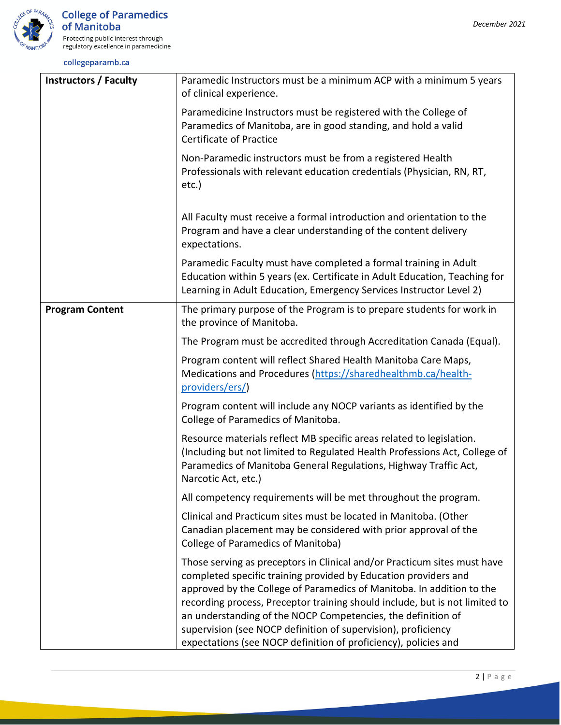

collegeparamb.ca

| <b>Instructors / Faculty</b> | Paramedic Instructors must be a minimum ACP with a minimum 5 years<br>of clinical experience.                                                                                                                                                                                                                                                                                                                                                                                                           |
|------------------------------|---------------------------------------------------------------------------------------------------------------------------------------------------------------------------------------------------------------------------------------------------------------------------------------------------------------------------------------------------------------------------------------------------------------------------------------------------------------------------------------------------------|
|                              | Paramedicine Instructors must be registered with the College of<br>Paramedics of Manitoba, are in good standing, and hold a valid<br><b>Certificate of Practice</b>                                                                                                                                                                                                                                                                                                                                     |
|                              | Non-Paramedic instructors must be from a registered Health<br>Professionals with relevant education credentials (Physician, RN, RT,<br>etc.)                                                                                                                                                                                                                                                                                                                                                            |
|                              | All Faculty must receive a formal introduction and orientation to the<br>Program and have a clear understanding of the content delivery<br>expectations.                                                                                                                                                                                                                                                                                                                                                |
|                              | Paramedic Faculty must have completed a formal training in Adult<br>Education within 5 years (ex. Certificate in Adult Education, Teaching for<br>Learning in Adult Education, Emergency Services Instructor Level 2)                                                                                                                                                                                                                                                                                   |
| <b>Program Content</b>       | The primary purpose of the Program is to prepare students for work in<br>the province of Manitoba.                                                                                                                                                                                                                                                                                                                                                                                                      |
|                              | The Program must be accredited through Accreditation Canada (Equal).                                                                                                                                                                                                                                                                                                                                                                                                                                    |
|                              | Program content will reflect Shared Health Manitoba Care Maps,<br>Medications and Procedures (https://sharedhealthmb.ca/health-<br>providers/ers/)                                                                                                                                                                                                                                                                                                                                                      |
|                              | Program content will include any NOCP variants as identified by the<br>College of Paramedics of Manitoba.                                                                                                                                                                                                                                                                                                                                                                                               |
|                              | Resource materials reflect MB specific areas related to legislation.<br>(Including but not limited to Regulated Health Professions Act, College of<br>Paramedics of Manitoba General Regulations, Highway Traffic Act,<br>Narcotic Act, etc.)                                                                                                                                                                                                                                                           |
|                              | All competency requirements will be met throughout the program.                                                                                                                                                                                                                                                                                                                                                                                                                                         |
|                              | Clinical and Practicum sites must be located in Manitoba. (Other<br>Canadian placement may be considered with prior approval of the<br>College of Paramedics of Manitoba)                                                                                                                                                                                                                                                                                                                               |
|                              | Those serving as preceptors in Clinical and/or Practicum sites must have<br>completed specific training provided by Education providers and<br>approved by the College of Paramedics of Manitoba. In addition to the<br>recording process, Preceptor training should include, but is not limited to<br>an understanding of the NOCP Competencies, the definition of<br>supervision (see NOCP definition of supervision), proficiency<br>expectations (see NOCP definition of proficiency), policies and |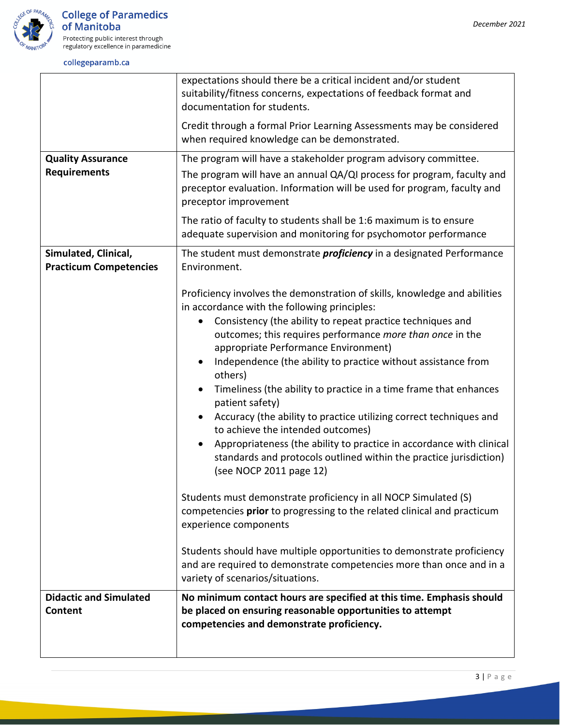

 $\mathbf{r}$ 

#### collegeparamb.ca

|                                                       | expectations should there be a critical incident and/or student<br>suitability/fitness concerns, expectations of feedback format and<br>documentation for students.                |
|-------------------------------------------------------|------------------------------------------------------------------------------------------------------------------------------------------------------------------------------------|
|                                                       | Credit through a formal Prior Learning Assessments may be considered<br>when required knowledge can be demonstrated.                                                               |
| <b>Quality Assurance</b>                              | The program will have a stakeholder program advisory committee.                                                                                                                    |
| <b>Requirements</b>                                   | The program will have an annual QA/QI process for program, faculty and<br>preceptor evaluation. Information will be used for program, faculty and<br>preceptor improvement         |
|                                                       | The ratio of faculty to students shall be 1:6 maximum is to ensure<br>adequate supervision and monitoring for psychomotor performance                                              |
| Simulated, Clinical,<br><b>Practicum Competencies</b> | The student must demonstrate <i>proficiency</i> in a designated Performance<br>Environment.                                                                                        |
|                                                       | Proficiency involves the demonstration of skills, knowledge and abilities<br>in accordance with the following principles:                                                          |
|                                                       | Consistency (the ability to repeat practice techniques and<br>$\bullet$<br>outcomes; this requires performance more than once in the<br>appropriate Performance Environment)       |
|                                                       | Independence (the ability to practice without assistance from<br>others)                                                                                                           |
|                                                       | Timeliness (the ability to practice in a time frame that enhances<br>patient safety)                                                                                               |
|                                                       | Accuracy (the ability to practice utilizing correct techniques and<br>to achieve the intended outcomes)                                                                            |
|                                                       | Appropriateness (the ability to practice in accordance with clinical<br>standards and protocols outlined within the practice jurisdiction)<br>(see NOCP 2011 page 12)              |
|                                                       | Students must demonstrate proficiency in all NOCP Simulated (S)<br>competencies prior to progressing to the related clinical and practicum<br>experience components                |
|                                                       | Students should have multiple opportunities to demonstrate proficiency<br>and are required to demonstrate competencies more than once and in a<br>variety of scenarios/situations. |
| <b>Didactic and Simulated</b><br>Content              | No minimum contact hours are specified at this time. Emphasis should<br>be placed on ensuring reasonable opportunities to attempt<br>competencies and demonstrate proficiency.     |
|                                                       |                                                                                                                                                                                    |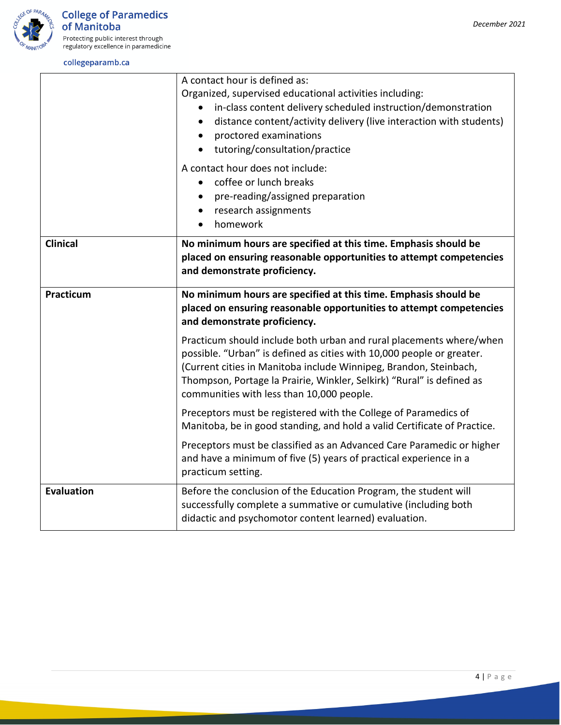



Protecting public interest through<br>regulatory excellence in paramedicine

#### collegeparamb.ca

|                   | A contact hour is defined as:<br>Organized, supervised educational activities including:<br>in-class content delivery scheduled instruction/demonstration<br>distance content/activity delivery (live interaction with students)<br>$\bullet$<br>proctored examinations<br>tutoring/consultation/practice<br>$\bullet$                  |
|-------------------|-----------------------------------------------------------------------------------------------------------------------------------------------------------------------------------------------------------------------------------------------------------------------------------------------------------------------------------------|
|                   | A contact hour does not include:<br>coffee or lunch breaks<br>pre-reading/assigned preparation<br>research assignments<br>$\bullet$<br>homework                                                                                                                                                                                         |
| <b>Clinical</b>   | No minimum hours are specified at this time. Emphasis should be<br>placed on ensuring reasonable opportunities to attempt competencies<br>and demonstrate proficiency.                                                                                                                                                                  |
| Practicum         | No minimum hours are specified at this time. Emphasis should be<br>placed on ensuring reasonable opportunities to attempt competencies<br>and demonstrate proficiency.                                                                                                                                                                  |
|                   | Practicum should include both urban and rural placements where/when<br>possible. "Urban" is defined as cities with 10,000 people or greater.<br>(Current cities in Manitoba include Winnipeg, Brandon, Steinbach,<br>Thompson, Portage la Prairie, Winkler, Selkirk) "Rural" is defined as<br>communities with less than 10,000 people. |
|                   | Preceptors must be registered with the College of Paramedics of<br>Manitoba, be in good standing, and hold a valid Certificate of Practice.                                                                                                                                                                                             |
|                   | Preceptors must be classified as an Advanced Care Paramedic or higher<br>and have a minimum of five (5) years of practical experience in a<br>practicum setting.                                                                                                                                                                        |
| <b>Evaluation</b> | Before the conclusion of the Education Program, the student will<br>successfully complete a summative or cumulative (including both<br>didactic and psychomotor content learned) evaluation.                                                                                                                                            |